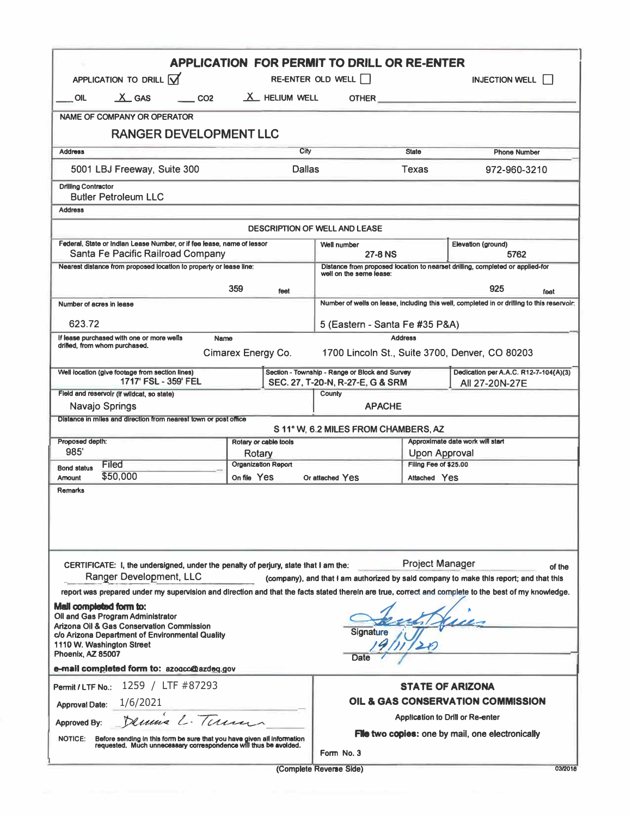|                                                                   |                                                                                                                                                                                           | <b>APPLICATION FOR PERMIT TO DRILL OR RE-ENTER</b>                                  |                                                                                    |                              |                                                                                                                                                      |  |  |
|-------------------------------------------------------------------|-------------------------------------------------------------------------------------------------------------------------------------------------------------------------------------------|-------------------------------------------------------------------------------------|------------------------------------------------------------------------------------|------------------------------|------------------------------------------------------------------------------------------------------------------------------------------------------|--|--|
|                                                                   | APPLICATION TO DRILL $\overline{M}$                                                                                                                                                       | RE-ENTER OLD WELL                                                                   |                                                                                    | <b>INJECTION WELL    </b>    |                                                                                                                                                      |  |  |
| <b>OIL</b>                                                        | $X$ GAS<br>$\sim$ CO <sub>2</sub>                                                                                                                                                         | $X$ HELIUM WELL                                                                     |                                                                                    |                              | <b>OTHER CONSTRUCTER</b>                                                                                                                             |  |  |
|                                                                   | <b>NAME OF COMPANY OR OPERATOR</b>                                                                                                                                                        |                                                                                     |                                                                                    |                              |                                                                                                                                                      |  |  |
|                                                                   | <b>RANGER DEVELOPMENT LLC</b>                                                                                                                                                             |                                                                                     |                                                                                    |                              |                                                                                                                                                      |  |  |
| <b>Address</b>                                                    |                                                                                                                                                                                           | City                                                                                |                                                                                    | <b>State</b>                 | <b>Phone Number</b>                                                                                                                                  |  |  |
|                                                                   | 5001 LBJ Freeway, Suite 300                                                                                                                                                               | <b>Dallas</b>                                                                       |                                                                                    | <b>Texas</b><br>972-960-3210 |                                                                                                                                                      |  |  |
| <b>Drilling Contractor</b>                                        | <b>Butler Petroleum LLC</b>                                                                                                                                                               |                                                                                     |                                                                                    |                              |                                                                                                                                                      |  |  |
| <b>Address</b>                                                    |                                                                                                                                                                                           |                                                                                     |                                                                                    |                              |                                                                                                                                                      |  |  |
|                                                                   |                                                                                                                                                                                           |                                                                                     | <b>DESCRIPTION OF WELL AND LEASE</b>                                               |                              |                                                                                                                                                      |  |  |
|                                                                   | Federal, State or Indian Lease Number, or if fee lease, name of lessor<br>Santa Fe Pacific Railroad Company                                                                               |                                                                                     | Well number<br><b>27-8 NS</b>                                                      |                              | Elevation (ground)<br>5762                                                                                                                           |  |  |
|                                                                   | Nearest distance from proposed location to property or lease line:                                                                                                                        |                                                                                     | well on the seme lease:                                                            |                              | Distance from proposed location to nearset drilling, completed or applied-for                                                                        |  |  |
|                                                                   |                                                                                                                                                                                           | 359<br>feet                                                                         |                                                                                    |                              | 925<br>feet                                                                                                                                          |  |  |
|                                                                   | Number of acres in lease                                                                                                                                                                  |                                                                                     |                                                                                    |                              | Number of wells on lease, including this well, completed in or drilling to this reservoir;                                                           |  |  |
| 623.72                                                            |                                                                                                                                                                                           |                                                                                     |                                                                                    |                              |                                                                                                                                                      |  |  |
|                                                                   | If lease purchased with one or more wells                                                                                                                                                 | Name                                                                                | 5 (Eastern - Santa Fe #35 P&A)<br><b>Address</b>                                   |                              |                                                                                                                                                      |  |  |
|                                                                   | drilled, from whom purchased.                                                                                                                                                             | Cimarex Energy Co.                                                                  |                                                                                    |                              | 1700 Lincoln St., Suite 3700, Denver, CO 80203                                                                                                       |  |  |
|                                                                   | Well location (give footage from section lines)<br>1717' FSL - 359' FEL                                                                                                                   |                                                                                     | Section - Township - Range or Block and Survey<br>SEC. 27, T-20-N, R-27-E, G & SRM |                              | Dedication per A.A.C. R12-7-104(A)(3)<br>All 27-20N-27E                                                                                              |  |  |
|                                                                   | Field and reservolr (if wildcat, so state)                                                                                                                                                |                                                                                     | County                                                                             |                              |                                                                                                                                                      |  |  |
|                                                                   | Navajo Springs                                                                                                                                                                            |                                                                                     | <b>APACHE</b>                                                                      |                              |                                                                                                                                                      |  |  |
|                                                                   | Distance in miles and direction from nearest town or post office                                                                                                                          |                                                                                     | S 11° W, 6.2 MILES FROM CHAMBERS, AZ                                               |                              |                                                                                                                                                      |  |  |
| Proposed depth:                                                   |                                                                                                                                                                                           | Rotary or cable tools                                                               |                                                                                    |                              | Approximate date work will start                                                                                                                     |  |  |
| 985                                                               |                                                                                                                                                                                           | Rotary                                                                              | Upon Approval<br>Filing Fee of \$25.00                                             |                              |                                                                                                                                                      |  |  |
|                                                                   |                                                                                                                                                                                           |                                                                                     |                                                                                    | Attached Yes                 |                                                                                                                                                      |  |  |
|                                                                   | <b>Filed</b><br>\$50,000                                                                                                                                                                  | <b>Organization Report</b><br>On file Yes                                           | Or attached Yes                                                                    |                              |                                                                                                                                                      |  |  |
|                                                                   |                                                                                                                                                                                           |                                                                                     |                                                                                    |                              |                                                                                                                                                      |  |  |
| <b>Bond status</b><br>Amount<br>Remarks                           | Ranger Development, LLC                                                                                                                                                                   | CERTIFICATE: I, the undersigned, under the penalty of perjury, slate that I am the: |                                                                                    | <b>Project Manager</b>       | of the<br>(company), and that I am authorized by sald company to make this report; and that this                                                     |  |  |
| Phoenix, AZ 85007                                                 | Mail completed form to:<br>Oil and Gas Program Administrator<br>Arizona Oil & Gas Conservation Commission<br>c/o Arizona Department of Environmental Quality<br>1110 W. Washington Street |                                                                                     | Signature<br>Date                                                                  |                              | report was prepared under my supervision and direction and that the facts stated therein are true, correct and complete to the best of my knowledge. |  |  |
|                                                                   | e-mail completed form to: azogcc@azdeg.gov                                                                                                                                                |                                                                                     |                                                                                    |                              |                                                                                                                                                      |  |  |
|                                                                   | 1259 / LTF #87293                                                                                                                                                                         |                                                                                     |                                                                                    |                              | <b>STATE OF ARIZONA</b>                                                                                                                              |  |  |
|                                                                   | 1/6/2021                                                                                                                                                                                  |                                                                                     |                                                                                    |                              | OIL & GAS CONSERVATION COMMISSION                                                                                                                    |  |  |
| Permit / LTF No.:<br><b>Approval Date:</b><br><b>Approved By:</b> | Dennis L. Terma                                                                                                                                                                           |                                                                                     |                                                                                    |                              | <b>Application to Drill or Re-enter</b>                                                                                                              |  |  |
| <b>NOTICE:</b>                                                    | Before sending in this form be sure that you have given all information<br>requested. Much unnecessary correspondence will thus be avoided.                                               |                                                                                     | Form No. 3                                                                         |                              | <b>File two copies:</b> one by mail, one electronically                                                                                              |  |  |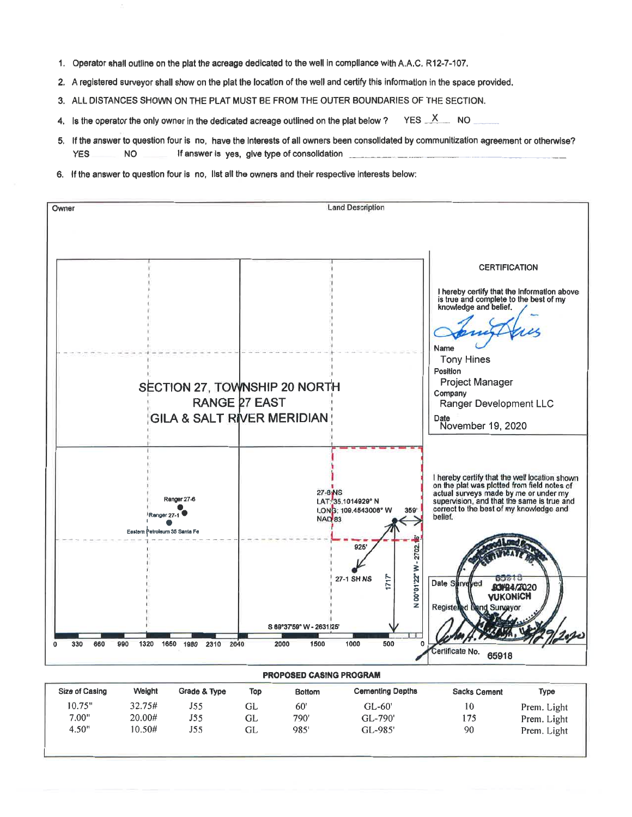- 1. Operator shall outline on the plat the acreage dedicated to the well in compliance with A.A.C. R12-7-107.
- 2. A registered surveyor shall show on the plat the location of the well and certify this information in the space provided.
- 3. ALL DISTANCES SHOWN ON THE PLAT MUST BE FROM THE OUTER BOUNDARIES OF THE SECTION.
- $YES \times NO$ 4. Is the operator the only owner in the dedicated acreage outlined on the plat below?
- 5. If the answer to question four is no, have the interests of all owners been consolidated by communitization agreement or otherwise? **YES NO** If answer is yes, give type of consolidation
- 6. If the answer to question four is no, list all the owners and their respective interests below:



| <b>Size of Casing</b> | Weight | Grade & Type | Top | <b>Bottom</b> | <b>Cementing Depths</b> | <b>Sacks Cement</b> | Type        |
|-----------------------|--------|--------------|-----|---------------|-------------------------|---------------------|-------------|
| 10.75"                | 32.75# | J55          | GL  | 60'           | $GL-60'$                | 10                  | Prem. Light |
| 7.00"                 | 20.00# | J55          | GL  | 790'          | GL-790'                 | 175                 | Prem. Light |
| 4.50"                 | 10.50# | J55          | GL  | 985'          | GL-985'                 | 90                  | Prem. Light |